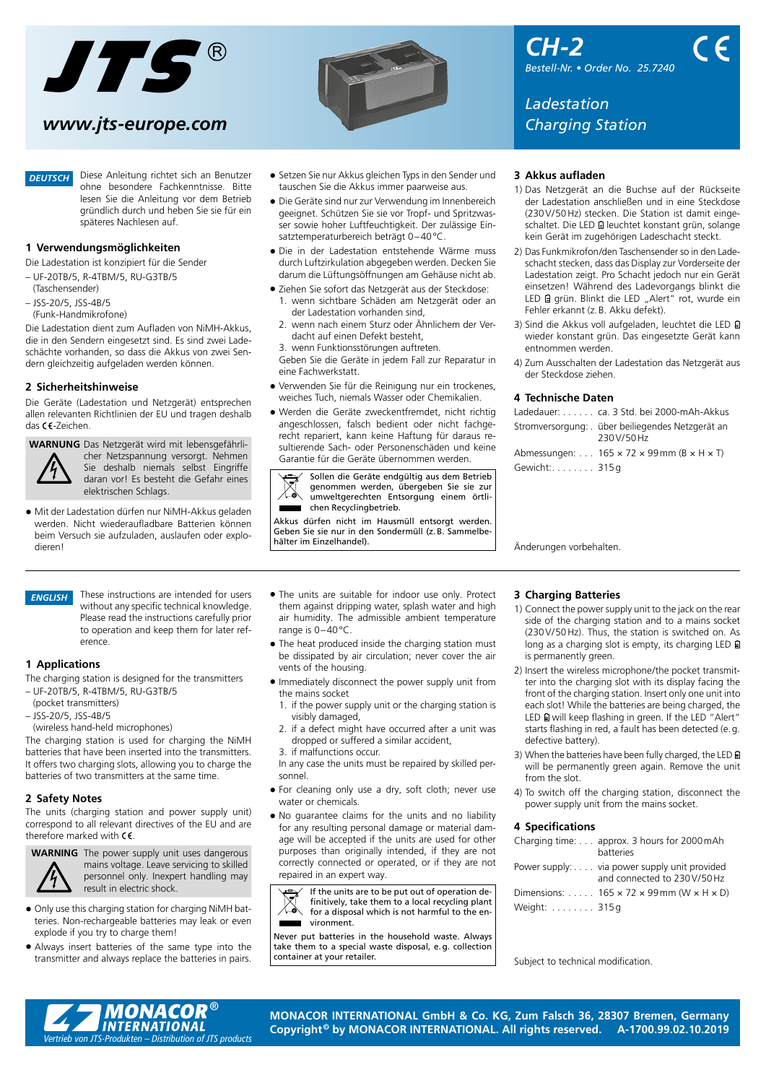

# *[www.jts-europe.com](https://www.jts-europe.com) Charging Station*

*DEUTSCH*

Diese Anleitung richtet sich an Benutzer ohne besondere Fachkenntnisse. Bitte lesen Sie die Anleitung vor dem Betrieb gründlich durch und heben Sie sie für ein späteres Nachlesen auf.

### **1 Verwendungsmöglichkeiten**

Die Ladestation ist konzipiert für die Sender

- UF-20TB/5, R-4TBM/5, RU-G3TB/5
- (Taschensender)
- JSS-20/5, JSS-4B/5
- (Funk-Handmikrofone)

Die Ladestation dient zum Aufladen von NiMH-Akkus, die in den Sendern eingesetzt sind. Es sind zwei Ladeschächte vorhanden, so dass die Akkus von zwei Sendern gleichzeitig aufgeladen werden können.

## **2 Sicherheitshinweise**

Die Geräte (Ladestation und Netzgerät) entsprechen allen relevanten Richtlinien der EU und tragen deshalb das CC-Zeichen.

**WARNUNG** Das Netzgerät wird mit lebensgefährli-

cher Netzspannung versorgt. Nehmen Sie deshalb niemals selbst Eingriffe daran vor! Es besteht die Gefahr eines elektrischen Schlags.

• Mit der Ladestation dürfen nur NiMH-Akkus geladen werden. Nicht wiederaufladbare Batterien können beim Versuch sie aufzuladen, auslaufen oder explodieren!

- Setzen Sie nur Akkus gleichen Typs in den Sender und tauschen Sie die Akkus immer paarweise aus.
- Die Geräte sind nur zur Verwendung im Innenbereich geeignet. Schützen Sie sie vor Tropf- und Spritzwasser sowie hoher Luftfeuchtigkeit. Der zulässige Einsatztemperaturbereich beträgt 0–40°C.
- Die in der Ladestation entstehende Wärme muss durch Luftzirkulation abgegeben werden. Decken Sie darum die Lüftungsöffnungen am Gehäuse nicht ab.
- Ziehen Sie sofort das Netzgerät aus der Steckdose: 1. wenn sichtbare Schäden am Netzgerät oder an der Ladestation vorhanden sind,
	- 2. wenn nach einem Sturz oder Ähnlichem der Verdacht auf einen Defekt besteht,
	- 3. wenn Funktionsstörungen auftreten.

Geben Sie die Geräte in jedem Fall zur Reparatur in eine Fachwerkstatt.

- Verwenden Sie für die Reinigung nur ein trockenes, weiches Tuch, niemals Wasser oder Chemikalien.
- Werden die Geräte zweckentfremdet, nicht richtig angeschlossen, falsch bedient oder nicht fachgerecht repariert, kann keine Haftung für daraus resultierende Sach- oder Personenschäden und keine Garantie für die Geräte übernommen werden.

Sollen die Geräte endgültig aus dem Betrieb genommen werden, übergeben Sie sie zur umweltgerechten Entsorgung einem örtlichen Recyclingbetrieb.

Akkus dürfen nicht im Hausmüll entsorgt werden. Geben Sie sie nur in den Sondermüll (z.B. Sammelbehälter im Einzelhandel).

*CH-2 Bestell-Nr. • Order No. 25.7240*

*Ladestation*

### **3 Akkus aufladen**

- 1) Das Netzgerät an die Buchse auf der Rückseite der Ladestation anschließen und in eine Steckdose (230V/50Hz) stecken. Die Station ist damit eingeschaltet. Die LED I leuchtet konstant grün, solange kein Gerät im zugehörigen Ladeschacht steckt.
- 2) Das Funkmikrofon /den Taschensender so in den Ladeschacht stecken, dass das Display zur Vorderseite der Ladestation zeigt. Pro Schacht jedoch nur ein Gerät einsetzen! Während des Ladevorgangs blinkt die LED @ grün. Blinkt die LED "Alert" rot, wurde ein Fehler erkannt (z.B. Akku defekt).
- 3) Sind die Akkus voll aufgeladen, leuchtet die LED wieder konstant grün. Das eingesetzte Gerät kann entnommen werden.
- 4) Zum Ausschalten der Ladestation das Netzgerät aus der Steckdose ziehen.

### **4 Technische Daten**

|               | Ladedauer: ca. 3 Std. bei 2000-mAh-Akkus                              |
|---------------|-----------------------------------------------------------------------|
|               | Stromversorgung: . über beiliegendes Netzgerät an<br>230V/50Hz        |
|               | Abmessungen: 165 $\times$ 72 $\times$ 99 mm (B $\times$ H $\times$ T) |
| Gewicht: 315q |                                                                       |

Änderungen vorbehalten.

### *ENGLISH*

These instructions are intended for users without any specific technical knowledge. Please read the instructions carefully prior to operation and keep them for later reference.

# **1 Applications**

The charging station is designed for the transmitters – UF-20TB/5, R-4TBM/5, RU-G3TB/5

- (pocket transmitters)
- JSS-20/5, JSS-4B/5
- (wireless hand-held microphones)

The charging station is used for charging the NiMH batteries that have been inserted into the transmitters. It offers two charging slots, allowing you to charge the batteries of two transmitters at the same time.

# **2 Safety Notes**

The units (charging station and power supply unit) correspond to all relevant directives of the EU and are therefore marked with  $\epsilon$ 



**WARNING** The power supply unit uses dangerous mains voltage. Leave servicing to skilled personnel only. Inexpert handling may result in electric shock.

- Only use this charging station for charging NiMH batteries. Non-rechargeable batteries may leak or even explode if you try to charge them!
- Always insert batteries of the same type into the transmitter and always replace the batteries in pairs.
- The units are suitable for indoor use only. Protect them against dripping water, splash water and high air humidity. The admissible ambient temperature range is 0–40°C.
- The heat produced inside the charging station must be dissipated by air circulation; never cover the air vents of the housing.
- Immediately disconnect the power supply unit from the mains socket
	- 1. if the power supply unit or the charging station is visibly damaged,
- if a defect might have occurred after a unit was dropped or suffered a similar accident,
- 3. if malfunctions occur.
- In any case the units must be repaired by skilled personnel.
- For cleaning only use a dry, soft cloth; never use water or chemicals.
- No guarantee claims for the units and no liability for any resulting personal damage or material damage will be accepted if the units are used for other purposes than originally intended, if they are not correctly connected or operated, or if they are not repaired in an expert way.

If the units are to be put out of operation de- $\boxtimes$ finitively, take them to a local recycling plant for a disposal which is not harmful to the en-



Never put batteries in the household waste. Always take them to a special waste disposal, e.g. collection container at your retailer.

### **3 Charging Batteries**

- 1) Connect the power supply unit to the jack on the rear side of the charging station and to a mains socket (230V/ 50Hz). Thus, the station is switched on. As long as a charging slot is empty, its charging LED  $\Box$ is permanently green.
- 2) Insert the wireless microphone/the pocket transmitter into the charging slot with its display facing the front of the charging station. Insert only one unit into each slot! While the batteries are being charged, the LED  $\Box$  will keep flashing in green. If the LED "Alert" starts flashing in red, a fault has been detected (e.g. defective battery).
- 3) When the batteries have been fully charged, the LED  $\Box$ will be permanently green again. Remove the unit from the slot.
- 4) To switch off the charging station, disconnect the power supply unit from the mains socket.

# **4 Specifications**

|              | Charging time: approx. 3 hours for 2000 mAh                        |
|--------------|--------------------------------------------------------------------|
|              | batteries                                                          |
|              | Power supply: via power supply unit provided                       |
|              | and connected to 230V/50Hz                                         |
|              | Dimensions: $165 \times 72 \times 99$ mm (W $\times$ H $\times$ D) |
| Weight: 315g |                                                                    |

Subject to technical modification.



**MONACOR INTERNATIONAL GmbH & Co. KG, Zum Falsch 36, 28307 Bremen, Germany Copyright© by MONACOR INTERNATIONAL. All rights reserved. A-1700.99.02.10.2019**